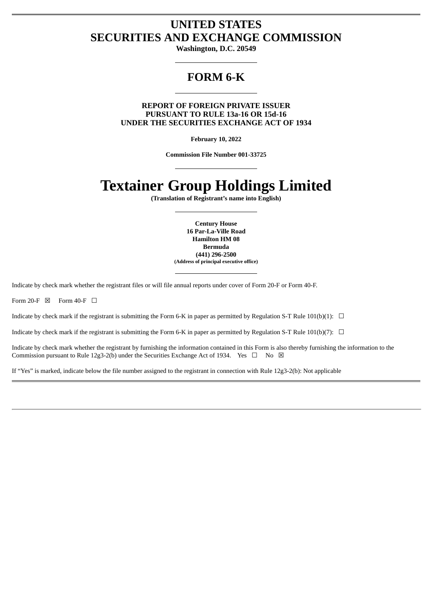# **UNITED STATES SECURITIES AND EXCHANGE COMMISSION**

**Washington, D.C. 20549**

# **FORM 6-K**

**REPORT OF FOREIGN PRIVATE ISSUER PURSUANT TO RULE 13a-16 OR 15d-16 UNDER THE SECURITIES EXCHANGE ACT OF 1934**

**February 10, 2022**

**Commission File Number 001-33725**

# **Textainer Group Holdings Limited**

**(Translation of Registrant's name into English)**

**Century House 16 Par-La-Ville Road Hamilton HM 08 Bermuda (441) 296-2500 (Address of principal executive office)**

Indicate by check mark whether the registrant files or will file annual reports under cover of Form 20-F or Form 40-F.

Form 20-F  $\boxtimes$  Form 40-F  $\Box$ 

Indicate by check mark if the registrant is submitting the Form 6-K in paper as permitted by Regulation S-T Rule 101(b)(1):  $\Box$ 

Indicate by check mark if the registrant is submitting the Form 6-K in paper as permitted by Regulation S-T Rule 101(b)(7):  $\Box$ 

Indicate by check mark whether the registrant by furnishing the information contained in this Form is also thereby furnishing the information to the Commission pursuant to Rule 12g3-2(b) under the Securities Exchange Act of 1934. Yes  $\Box$  No  $\boxtimes$ 

If "Yes" is marked, indicate below the file number assigned to the registrant in connection with Rule 12g3-2(b): Not applicable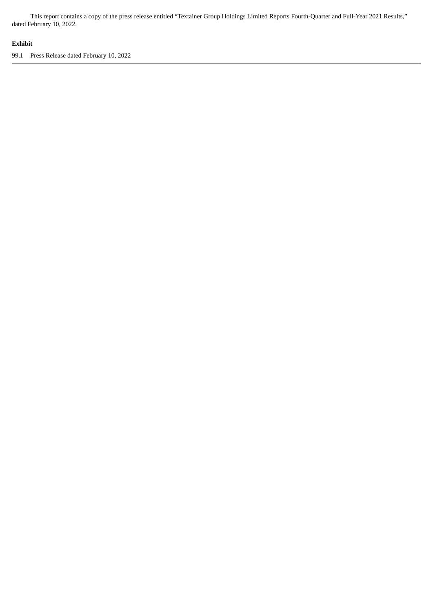This report contains a copy of the press release entitled "Textainer Group Holdings Limited Reports Fourth-Quarter and Full-Year 2021 Results," dated February 10, 2022.

## **Exhibit**

99.1 Press Release dated February 10, 2022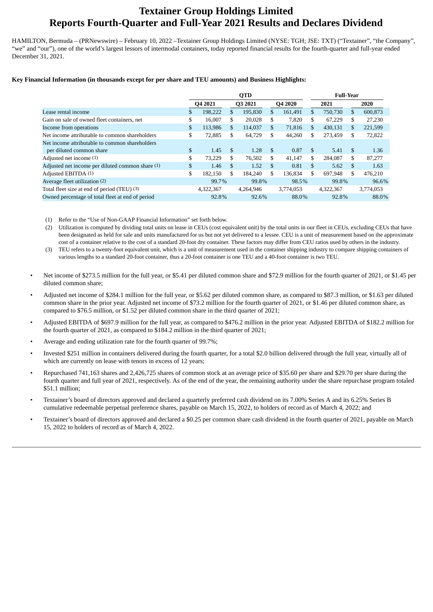# **Textainer Group Holdings Limited Reports Fourth-Quarter and Full-Year 2021 Results and Declares Dividend**

HAMILTON, Bermuda – (PRNewswire) – February 10, 2022 –Textainer Group Holdings Limited (NYSE: TGH; JSE: TXT) ("Textainer", "the Company", "we" and "our"), one of the world's largest lessors of intermodal containers, today reported financial results for the fourth-quarter and full-year ended December 31, 2021.

#### **Key Financial Information (in thousands except for per share and TEU amounts) and Business Highlights:**

|                                                  | <b>QTD</b> |           |               |           |     |           |    | <b>Full-Year</b> |     |           |  |  |  |
|--------------------------------------------------|------------|-----------|---------------|-----------|-----|-----------|----|------------------|-----|-----------|--|--|--|
|                                                  | Q4 2021    |           |               | Q3 2021   |     | Q4 2020   |    | 2021             |     | 2020      |  |  |  |
| Lease rental income                              | S.         | 198.222   | \$.           | 195.830   | \$  | 161.491   | \$ | 750,730          | \$  | 600,873   |  |  |  |
| Gain on sale of owned fleet containers, net      | \$         | 16,007    | \$            | 20,028    | \$  | 7,820     | \$ | 67,229           | \$  | 27.230    |  |  |  |
| Income from operations                           | \$         | 113,986   | \$            | 114,037   | \$  | 71,816    | \$ | 430,131          | S   | 221,599   |  |  |  |
| Net income attributable to common shareholders   | \$         | 72,885    | \$            | 64,729    | \$  | 44,260    | \$ | 273,459          | \$. | 72,822    |  |  |  |
| Net income attributable to common shareholders   |            |           |               |           |     |           |    |                  |     |           |  |  |  |
| per diluted common share                         | \$         | 1.45      | $\mathbf{\$}$ | 1.28      | \$. | 0.87      | \$ | 5.41             | -S  | 1.36      |  |  |  |
| Adjusted net income (1)                          | \$         | 73.229    | \$            | 76,502    | \$  | 41,147    | \$ | 284,087          | \$  | 87,277    |  |  |  |
| Adjusted net income per diluted common share (1) | \$         | 1.46      | \$.           | 1.52      | \$. | 0.81      | \$ | 5.62             | \$. | 1.63      |  |  |  |
| Adjusted EBITDA (1)                              | \$         | 182.150   | \$            | 184,240   | \$  | 136.834   | \$ | 697.948          | \$  | 476.210   |  |  |  |
| Average fleet utilization (2)                    |            | 99.7%     |               | 99.8%     |     | 98.5%     |    | 99.8%            |     | 96.6%     |  |  |  |
| Total fleet size at end of period (TEU) (3)      |            | 4.322.367 |               | 4.264.946 |     | 3,774,053 |    | 4.322.367        |     | 3,774,053 |  |  |  |
| Owned percentage of total fleet at end of period |            | 92.8%     |               | 92.6%     |     | 88.0%     |    | 92.8%            |     | 88.0%     |  |  |  |

(1) Refer to the "Use of Non-GAAP Financial Information" set forth below.

(2) Utilization is computed by dividing total units on lease in CEUs (cost equivalent unit) by the total units in our fleet in CEUs, excluding CEUs that have been designated as held for sale and units manufactured for us but not yet delivered to a lessee. CEU is a unit of measurement based on the approximate cost of a container relative to the cost of a standard 20-foot dry container. These factors may differ from CEU ratios used by others in the industry.

- (3) TEU refers to a twenty-foot equivalent unit, which is a unit of measurement used in the container shipping industry to compare shipping containers of various lengths to a standard 20-foot container, thus a 20-foot container is one TEU and a 40-foot container is two TEU.
- Net income of \$273.5 million for the full year, or \$5.41 per diluted common share and \$72.9 million for the fourth quarter of 2021, or \$1.45 per diluted common share;
- Adjusted net income of \$284.1 million for the full year, or \$5.62 per diluted common share, as compared to \$87.3 million, or \$1.63 per diluted common share in the prior year. Adjusted net income of \$73.2 million for the fourth quarter of 2021, or \$1.46 per diluted common share, as compared to \$76.5 million, or \$1.52 per diluted common share in the third quarter of 2021;
- Adjusted EBITDA of \$697.9 million for the full year, as compared to \$476.2 million in the prior year. Adjusted EBITDA of \$182.2 million for the fourth quarter of 2021, as compared to \$184.2 million in the third quarter of 2021;
- Average and ending utilization rate for the fourth quarter of 99.7%;
- Invested \$251 million in containers delivered during the fourth quarter, for a total \$2.0 billion delivered through the full year, virtually all of which are currently on lease with tenors in excess of 12 years;
- Repurchased 741,163 shares and 2,426,725 shares of common stock at an average price of \$35.60 per share and \$29.70 per share during the fourth quarter and full year of 2021, respectively. As of the end of the year, the remaining authority under the share repurchase program totaled \$51.1 million;
- Textainer's board of directors approved and declared a quarterly preferred cash dividend on its 7.00% Series A and its 6.25% Series B cumulative redeemable perpetual preference shares, payable on March 15, 2022, to holders of record as of March 4, 2022; and
- Textainer's board of directors approved and declared a \$0.25 per common share cash dividend in the fourth quarter of 2021, payable on March 15, 2022 to holders of record as of March 4, 2022.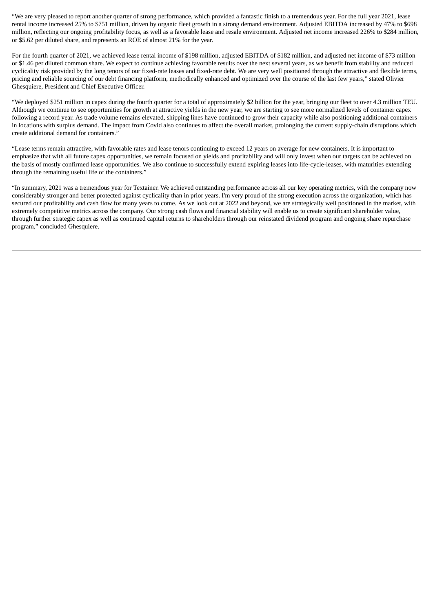"We are very pleased to report another quarter of strong performance, which provided a fantastic finish to a tremendous year. For the full year 2021, lease rental income increased 25% to \$751 million, driven by organic fleet growth in a strong demand environment. Adjusted EBITDA increased by 47% to \$698 million, reflecting our ongoing profitability focus, as well as a favorable lease and resale environment. Adjusted net income increased 226% to \$284 million, or \$5.62 per diluted share, and represents an ROE of almost 21% for the year.

For the fourth quarter of 2021, we achieved lease rental income of \$198 million, adjusted EBITDA of \$182 million, and adjusted net income of \$73 million or \$1.46 per diluted common share. We expect to continue achieving favorable results over the next several years, as we benefit from stability and reduced cyclicality risk provided by the long tenors of our fixed-rate leases and fixed-rate debt. We are very well positioned through the attractive and flexible terms, pricing and reliable sourcing of our debt financing platform, methodically enhanced and optimized over the course of the last few years," stated Olivier Ghesquiere, President and Chief Executive Officer.

"We deployed \$251 million in capex during the fourth quarter for a total of approximately \$2 billion for the year, bringing our fleet to over 4.3 million TEU. Although we continue to see opportunities for growth at attractive yields in the new year, we are starting to see more normalized levels of container capex following a record year. As trade volume remains elevated, shipping lines have continued to grow their capacity while also positioning additional containers in locations with surplus demand. The impact from Covid also continues to affect the overall market, prolonging the current supply-chain disruptions which create additional demand for containers."

"Lease terms remain attractive, with favorable rates and lease tenors continuing to exceed 12 years on average for new containers. It is important to emphasize that with all future capex opportunities, we remain focused on yields and profitability and will only invest when our targets can be achieved on the basis of mostly confirmed lease opportunities. We also continue to successfully extend expiring leases into life-cycle-leases, with maturities extending through the remaining useful life of the containers."

"In summary, 2021 was a tremendous year for Textainer. We achieved outstanding performance across all our key operating metrics, with the company now considerably stronger and better protected against cyclicality than in prior years. I'm very proud of the strong execution across the organization, which has secured our profitability and cash flow for many years to come. As we look out at 2022 and beyond, we are strategically well positioned in the market, with extremely competitive metrics across the company. Our strong cash flows and financial stability will enable us to create significant shareholder value, through further strategic capex as well as continued capital returns to shareholders through our reinstated dividend program and ongoing share repurchase program," concluded Ghesquiere.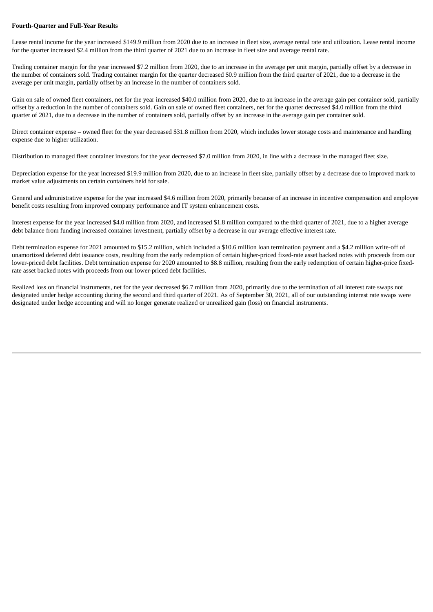#### **Fourth-Quarter and Full-Year Results**

Lease rental income for the year increased \$149.9 million from 2020 due to an increase in fleet size, average rental rate and utilization. Lease rental income for the quarter increased \$2.4 million from the third quarter of 2021 due to an increase in fleet size and average rental rate.

Trading container margin for the year increased \$7.2 million from 2020, due to an increase in the average per unit margin, partially offset by a decrease in the number of containers sold. Trading container margin for the quarter decreased \$0.9 million from the third quarter of 2021, due to a decrease in the average per unit margin, partially offset by an increase in the number of containers sold.

Gain on sale of owned fleet containers, net for the year increased \$40.0 million from 2020, due to an increase in the average gain per container sold, partially offset by a reduction in the number of containers sold. Gain on sale of owned fleet containers, net for the quarter decreased \$4.0 million from the third quarter of 2021, due to a decrease in the number of containers sold, partially offset by an increase in the average gain per container sold.

Direct container expense – owned fleet for the year decreased \$31.8 million from 2020, which includes lower storage costs and maintenance and handling expense due to higher utilization.

Distribution to managed fleet container investors for the year decreased \$7.0 million from 2020, in line with a decrease in the managed fleet size.

Depreciation expense for the year increased \$19.9 million from 2020, due to an increase in fleet size, partially offset by a decrease due to improved mark to market value adjustments on certain containers held for sale.

General and administrative expense for the year increased \$4.6 million from 2020, primarily because of an increase in incentive compensation and employee benefit costs resulting from improved company performance and IT system enhancement costs.

Interest expense for the year increased \$4.0 million from 2020, and increased \$1.8 million compared to the third quarter of 2021, due to a higher average debt balance from funding increased container investment, partially offset by a decrease in our average effective interest rate.

Debt termination expense for 2021 amounted to \$15.2 million, which included a \$10.6 million loan termination payment and a \$4.2 million write-off of unamortized deferred debt issuance costs, resulting from the early redemption of certain higher-priced fixed-rate asset backed notes with proceeds from our lower-priced debt facilities. Debt termination expense for 2020 amounted to \$8.8 million, resulting from the early redemption of certain higher-price fixedrate asset backed notes with proceeds from our lower-priced debt facilities.

Realized loss on financial instruments, net for the year decreased \$6.7 million from 2020, primarily due to the termination of all interest rate swaps not designated under hedge accounting during the second and third quarter of 2021. As of September 30, 2021, all of our outstanding interest rate swaps were designated under hedge accounting and will no longer generate realized or unrealized gain (loss) on financial instruments.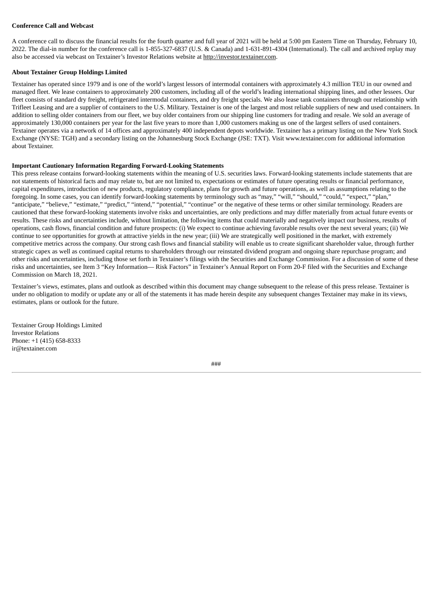#### **Conference Call and Webcast**

A conference call to discuss the financial results for the fourth quarter and full year of 2021 will be held at 5:00 pm Eastern Time on Thursday, February 10, 2022. The dial-in number for the conference call is 1-855-327-6837 (U.S. & Canada) and 1-631-891-4304 (International). The call and archived replay may also be accessed via webcast on Textainer's Investor Relations website at http://investor.textainer.com.

#### **About Textainer Group Holdings Limited**

Textainer has operated since 1979 and is one of the world's largest lessors of intermodal containers with approximately 4.3 million TEU in our owned and managed fleet. We lease containers to approximately 200 customers, including all of the world's leading international shipping lines, and other lessees. Our fleet consists of standard dry freight, refrigerated intermodal containers, and dry freight specials. We also lease tank containers through our relationship with Trifleet Leasing and are a supplier of containers to the U.S. Military. Textainer is one of the largest and most reliable suppliers of new and used containers. In addition to selling older containers from our fleet, we buy older containers from our shipping line customers for trading and resale. We sold an average of approximately 130,000 containers per year for the last five years to more than 1,000 customers making us one of the largest sellers of used containers. Textainer operates via a network of 14 offices and approximately 400 independent depots worldwide. Textainer has a primary listing on the New York Stock Exchange (NYSE: TGH) and a secondary listing on the Johannesburg Stock Exchange (JSE: TXT). Visit www.textainer.com for additional information about Textainer.

#### **Important Cautionary Information Regarding Forward-Looking Statements**

This press release contains forward-looking statements within the meaning of U.S. securities laws. Forward-looking statements include statements that are not statements of historical facts and may relate to, but are not limited to, expectations or estimates of future operating results or financial performance, capital expenditures, introduction of new products, regulatory compliance, plans for growth and future operations, as well as assumptions relating to the foregoing. In some cases, you can identify forward-looking statements by terminology such as "may," "will," "should," "could," "expect," "plan," "anticipate," "believe," "estimate," "predict," "intend," "potential," "continue" or the negative of these terms or other similar terminology. Readers are cautioned that these forward-looking statements involve risks and uncertainties, are only predictions and may differ materially from actual future events or results. These risks and uncertainties include, without limitation, the following items that could materially and negatively impact our business, results of operations, cash flows, financial condition and future prospects: (i) We expect to continue achieving favorable results over the next several years; (ii) We continue to see opportunities for growth at attractive yields in the new year; (iii) We are strategically well positioned in the market, with extremely competitive metrics across the company. Our strong cash flows and financial stability will enable us to create significant shareholder value, through further strategic capex as well as continued capital returns to shareholders through our reinstated dividend program and ongoing share repurchase program; and other risks and uncertainties, including those set forth in Textainer's filings with the Securities and Exchange Commission. For a discussion of some of these risks and uncertainties, see Item 3 "Key Information— Risk Factors" in Textainer's Annual Report on Form 20-F filed with the Securities and Exchange Commission on March 18, 2021.

Textainer's views, estimates, plans and outlook as described within this document may change subsequent to the release of this press release. Textainer is under no obligation to modify or update any or all of the statements it has made herein despite any subsequent changes Textainer may make in its views, estimates, plans or outlook for the future.

Textainer Group Holdings Limited Investor Relations Phone: +1 (415) 658-8333 ir@textainer.com

###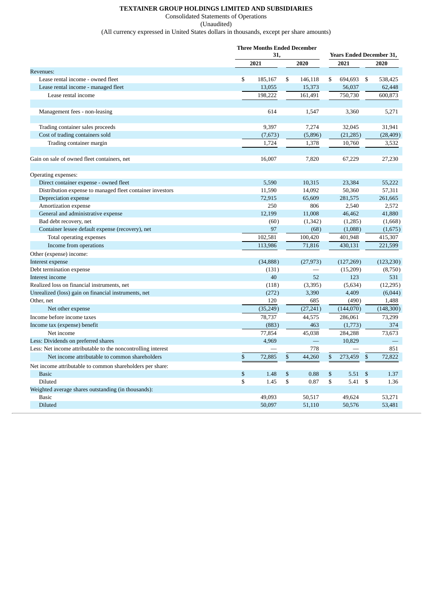## **TEXTAINER GROUP HOLDINGS LIMITED AND SUBSIDIARIES**

Consolidated Statements of Operations

(Unaudited)

(All currency expressed in United States dollars in thousands, except per share amounts)

|                                                              | <b>Three Months Ended December</b> |    |           |    |                                 |             |            |  |  |
|--------------------------------------------------------------|------------------------------------|----|-----------|----|---------------------------------|-------------|------------|--|--|
|                                                              | 31,                                |    |           |    | <b>Years Ended December 31,</b> |             |            |  |  |
|                                                              | 2021                               |    | 2020      |    | 2021                            |             | 2020       |  |  |
| Revenues:                                                    |                                    |    |           |    |                                 |             |            |  |  |
| Lease rental income - owned fleet                            | \$<br>185,167                      | \$ | 146,118   | \$ | 694,693                         | \$          | 538,425    |  |  |
| Lease rental income - managed fleet                          | 13,055                             |    | 15,373    |    | 56,037                          |             | 62,448     |  |  |
| Lease rental income                                          | 198,222                            |    | 161,491   |    | 750,730                         |             | 600.873    |  |  |
|                                                              |                                    |    |           |    |                                 |             |            |  |  |
| Management fees - non-leasing                                | 614                                |    | 1,547     |    | 3,360                           |             | 5,271      |  |  |
|                                                              |                                    |    |           |    |                                 |             |            |  |  |
| Trading container sales proceeds                             | 9.397                              |    | 7,274     |    | 32,045                          |             | 31,941     |  |  |
| Cost of trading containers sold                              | (7,673)                            |    | (5,896)   |    | (21, 285)                       |             | (28, 409)  |  |  |
| Trading container margin                                     | 1,724                              |    | 1,378     |    | 10,760                          |             | 3,532      |  |  |
| Gain on sale of owned fleet containers, net                  | 16,007                             |    | 7,820     |    | 67,229                          |             | 27,230     |  |  |
|                                                              |                                    |    |           |    |                                 |             |            |  |  |
| Operating expenses:                                          |                                    |    |           |    |                                 |             |            |  |  |
| Direct container expense - owned fleet                       | 5,590                              |    | 10,315    |    | 23,384                          |             | 55,222     |  |  |
| Distribution expense to managed fleet container investors    | 11,590                             |    | 14,092    |    | 50,360                          |             | 57,311     |  |  |
| Depreciation expense                                         | 72,915                             |    | 65,609    |    | 281,575                         |             | 261,665    |  |  |
| Amortization expense                                         | 250                                |    | 806       |    | 2,540                           |             | 2,572      |  |  |
| General and administrative expense                           | 12,199                             |    | 11,008    |    | 46,462                          |             | 41,880     |  |  |
| Bad debt recovery, net                                       | (60)                               |    | (1,342)   |    | (1,285)                         |             | (1,668)    |  |  |
| Container lessee default expense (recovery), net             | 97                                 |    | (68)      |    | (1,088)                         |             | (1,675)    |  |  |
| Total operating expenses                                     | 102,581                            |    | 100,420   |    | 401,948                         |             | 415,307    |  |  |
| Income from operations                                       | 113,986                            |    | 71,816    |    | 430,131                         |             | 221,599    |  |  |
| Other (expense) income:                                      |                                    |    |           |    |                                 |             |            |  |  |
| Interest expense                                             | (34, 888)                          |    | (27, 973) |    | (127, 269)                      |             | (123, 230) |  |  |
| Debt termination expense                                     | (131)                              |    |           |    | (15,209)                        |             | (8,750)    |  |  |
| Interest income                                              | 40                                 |    | 52        |    | 123                             |             | 531        |  |  |
| Realized loss on financial instruments, net                  | (118)                              |    | (3,395)   |    | (5,634)                         |             | (12, 295)  |  |  |
| Unrealized (loss) gain on financial instruments, net         | (272)                              |    | 3,390     |    | 4,409                           |             | (6,044)    |  |  |
| Other, net                                                   | 120                                |    | 685       |    | (490)                           |             | 1,488      |  |  |
| Net other expense                                            | (35, 249)                          |    | (27, 241) |    | (144,070)                       |             | (148, 300) |  |  |
| Income before income taxes                                   | 78,737                             |    | 44,575    |    | 286,061                         |             | 73,299     |  |  |
| Income tax (expense) benefit                                 | (883)                              |    | 463       |    | (1,773)                         |             | 374        |  |  |
| Net income                                                   | 77,854                             |    | 45,038    |    | 284,288                         |             | 73,673     |  |  |
| Less: Dividends on preferred shares                          | 4,969                              |    |           |    | 10.829                          |             |            |  |  |
| Less: Net income attributable to the noncontrolling interest |                                    |    | 778       |    |                                 |             | 851        |  |  |
| Net income attributable to common shareholders               | \$<br>72,885                       | \$ | 44,260    | \$ | 273,459                         | \$          | 72,822     |  |  |
| Net income attributable to common shareholders per share:    |                                    |    |           |    |                                 |             |            |  |  |
| <b>Basic</b>                                                 | \$<br>1.48                         | \$ | 0.88      | \$ | 5.51                            | \$          | 1.37       |  |  |
| Diluted                                                      | \$<br>1.45                         | \$ | 0.87      | \$ | 5.41                            | $\mathbf S$ | 1.36       |  |  |
| Weighted average shares outstanding (in thousands):          |                                    |    |           |    |                                 |             |            |  |  |
| <b>Basic</b>                                                 | 49,093                             |    | 50,517    |    | 49,624                          |             | 53,271     |  |  |
| Diluted                                                      | 50,097                             |    | 51,110    |    | 50,576                          |             | 53,481     |  |  |
|                                                              |                                    |    |           |    |                                 |             |            |  |  |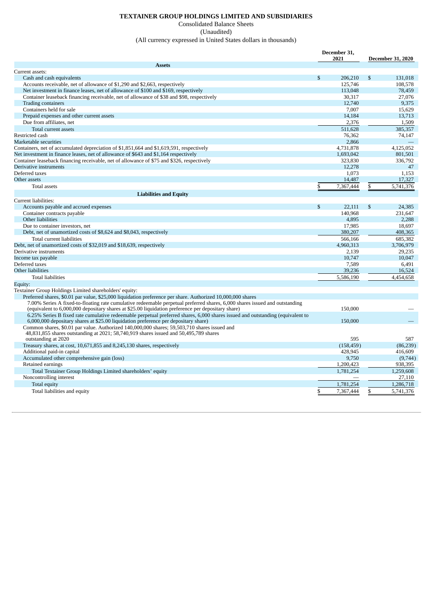## **TEXTAINER GROUP HOLDINGS LIMITED AND SUBSIDIARIES**

#### Consolidated Balance Sheets (Unaudited) (All currency expressed in United States dollars in thousands)

|                                                                                                                                | December 31,<br>2021 |              | <b>December 31, 2020</b> |
|--------------------------------------------------------------------------------------------------------------------------------|----------------------|--------------|--------------------------|
| <b>Assets</b>                                                                                                                  |                      |              |                          |
| Current assets:                                                                                                                |                      |              |                          |
| Cash and cash equivalents                                                                                                      | \$<br>206,210        | $\mathbb{S}$ | 131,018                  |
| Accounts receivable, net of allowance of \$1,290 and \$2,663, respectively                                                     | 125,746              |              | 108,578                  |
| Net investment in finance leases, net of allowance of \$100 and \$169, respectively                                            | 113,048              |              | 78,459                   |
| Container leaseback financing receivable, net of allowance of \$38 and \$98, respectively                                      | 30.317               |              | 27.076                   |
| <b>Trading containers</b>                                                                                                      | 12,740               |              | 9,375                    |
| Containers held for sale                                                                                                       | 7.007                |              | 15,629                   |
| Prepaid expenses and other current assets                                                                                      | 14,184               |              | 13,713                   |
| Due from affiliates, net                                                                                                       | 2,376                |              | 1,509                    |
| Total current assets                                                                                                           | 511.628              |              | 385.357                  |
| Restricted cash                                                                                                                | 76.362               |              | 74.147                   |
| Marketable securities                                                                                                          | 2,866                |              |                          |
| Containers, net of accumulated depreciation of \$1,851,664 and \$1,619,591, respectively                                       | 4,731,878            |              | 4,125,052                |
| Net investment in finance leases, net of allowance of \$643 and \$1,164 respectively                                           | 1,693,042            |              | 801.501                  |
| Container leaseback financing receivable, net of allowance of \$75 and \$326, respectively                                     | 323,830              |              | 336,792                  |
| Derivative instruments                                                                                                         | 12,278               |              | 47                       |
| Deferred taxes                                                                                                                 | 1,073                |              | 1,153                    |
| Other assets                                                                                                                   | 14,487               |              | 17,327                   |
| <b>Total assets</b>                                                                                                            | \$<br>7,367,444      | \$           | 5,741,376                |
|                                                                                                                                |                      |              |                          |
| <b>Liabilities and Equity</b><br>Current liabilities:                                                                          |                      |              |                          |
|                                                                                                                                |                      |              |                          |
| Accounts payable and accrued expenses                                                                                          | \$<br>22,111         | \$           | 24,385                   |
| Container contracts payable                                                                                                    | 140,968              |              | 231,647                  |
| Other liabilities                                                                                                              | 4,895                |              | 2,288                    |
| Due to container investors, net                                                                                                | 17,985               |              | 18.697                   |
| Debt, net of unamortized costs of \$8,624 and \$8,043, respectively                                                            | 380,207              |              | 408,365                  |
| Total current liabilities                                                                                                      | 566,166              |              | 685,382                  |
| Debt, net of unamortized costs of \$32,019 and \$18,639, respectively                                                          | 4,960,313            |              | 3,706,979                |
| Derivative instruments                                                                                                         | 2,139                |              | 29,235                   |
| Income tax payable                                                                                                             | 10,747               |              | 10,047                   |
| Deferred taxes                                                                                                                 | 7,589                |              | 6.491                    |
| Other liabilities                                                                                                              | 39,236               |              | 16,524                   |
| <b>Total liabilities</b>                                                                                                       | 5,586,190            |              | 4,454,658                |
| Equity:                                                                                                                        |                      |              |                          |
| Textainer Group Holdings Limited shareholders' equity:                                                                         |                      |              |                          |
| Preferred shares, \$0.01 par value, \$25,000 liquidation preference per share. Authorized 10,000,000 shares                    |                      |              |                          |
| 7.00% Series A fixed-to-floating rate cumulative redeemable perpetual preferred shares, 6,000 shares issued and outstanding    |                      |              |                          |
| (equivalent to 6,000,000 depositary shares at \$25.00 liquidation preference per depositary share)                             | 150,000              |              |                          |
| 6.25% Series B fixed rate cumulative redeemable perpetual preferred shares, 6,000 shares issued and outstanding (equivalent to |                      |              |                          |
| 6,000,000 depositary shares at \$25.00 liquidation preference per depositary share)                                            | 150,000              |              |                          |
| Common shares, \$0.01 par value. Authorized 140,000,000 shares; 59,503,710 shares issued and                                   |                      |              |                          |
| 48,831,855 shares outstanding at 2021; 58,740,919 shares issued and 50,495,789 shares                                          |                      |              |                          |
| outstanding at 2020                                                                                                            | 595                  |              | 587                      |
| Treasury shares, at cost, 10,671,855 and 8,245,130 shares, respectively                                                        | (158, 459)           |              | (86, 239)                |
| Additional paid-in capital                                                                                                     | 428,945              |              | 416,609                  |
| Accumulated other comprehensive gain (loss)                                                                                    | 9,750                |              | (9,744)                  |
| Retained earnings                                                                                                              | 1,200,423            |              | 938,395                  |
| Total Textainer Group Holdings Limited shareholders' equity                                                                    | 1,781,254            |              | 1,259,608                |
| Noncontrolling interest                                                                                                        |                      |              | 27,110                   |
| Total equity                                                                                                                   | 1,781,254            |              | 1,286,718                |
| Total liabilities and equity                                                                                                   | \$<br>7,367,444      | \$           | 5,741,376                |
|                                                                                                                                |                      |              |                          |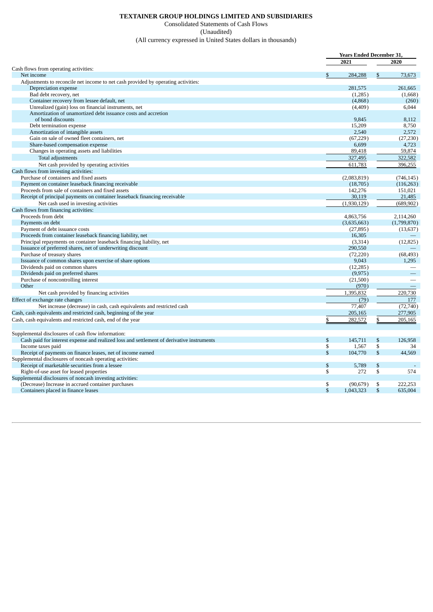## **TEXTAINER GROUP HOLDINGS LIMITED AND SUBSIDIARIES**

Consolidated Statements of Cash Flows (Unaudited)

(All currency expressed in United States dollars in thousands)

|                                                                                           | <b>Years Ended December 31.</b> |    |                          |
|-------------------------------------------------------------------------------------------|---------------------------------|----|--------------------------|
|                                                                                           | 2021                            |    | 2020                     |
| Cash flows from operating activities:                                                     |                                 |    |                          |
| Net income                                                                                | 284,288                         | \$ | 73,673                   |
| Adjustments to reconcile net income to net cash provided by operating activities:         |                                 |    |                          |
| Depreciation expense                                                                      | 281,575                         |    | 261.665                  |
| Bad debt recovery, net                                                                    | (1,285)                         |    | (1,668)                  |
| Container recovery from lessee default, net                                               | (4,868)                         |    | (260)                    |
| Unrealized (gain) loss on financial instruments, net                                      | (4,409)                         |    | 6,044                    |
| Amortization of unamortized debt issuance costs and accretion                             |                                 |    |                          |
| of bond discounts                                                                         | 9.845                           |    | 8.112                    |
| Debt termination expense                                                                  | 15,209                          |    | 8,750                    |
| Amortization of intangible assets                                                         | 2,540                           |    | 2,572                    |
| Gain on sale of owned fleet containers, net                                               | (67, 229)                       |    | (27, 230)                |
| Share-based compensation expense                                                          | 6,699                           |    | 4,723                    |
| Changes in operating assets and liabilities                                               | 89,418                          |    | 59,874                   |
| Total adjustments                                                                         | 327,495                         |    | 322,582                  |
| Net cash provided by operating activities                                                 | 611,783                         |    | 396,255                  |
| Cash flows from investing activities:                                                     |                                 |    |                          |
| Purchase of containers and fixed assets                                                   | (2,083,819)                     |    | (746.145)                |
| Payment on container leaseback financing receivable                                       | (18,705)                        |    | (116, 263)               |
| Proceeds from sale of containers and fixed assets                                         | 142,276                         |    | 151,021                  |
| Receipt of principal payments on container leaseback financing receivable                 | 30,119                          |    | 21,485                   |
| Net cash used in investing activities                                                     | (1,930,129)                     |    | (689, 902)               |
| Cash flows from financing activities:                                                     |                                 |    |                          |
| Proceeds from debt                                                                        | 4,863,756                       |    | 2,114,260                |
|                                                                                           |                                 |    | (1,799,870)              |
| Payments on debt                                                                          | (3,635,663)                     |    |                          |
| Payment of debt issuance costs                                                            | (27, 895)<br>16,305             |    | (13, 637)                |
| Proceeds from container leaseback financing liability, net                                |                                 |    |                          |
| Principal repayments on container leaseback financing liability, net                      | (3,314)                         |    | (12, 825)                |
| Issuance of preferred shares, net of underwriting discount<br>Purchase of treasury shares | 290,550                         |    | (68, 493)                |
| Issuance of common shares upon exercise of share options                                  | (72, 220)<br>9,043              |    | 1,295                    |
| Dividends paid on common shares                                                           | (12, 285)                       |    |                          |
| Dividends paid on preferred shares                                                        | (9, 975)                        |    |                          |
| Purchase of noncontrolling interest                                                       | (21,500)                        |    |                          |
| Other                                                                                     | (970)                           |    | $\overline{\phantom{m}}$ |
|                                                                                           | 1,395,832                       |    | 220,730                  |
| Net cash provided by financing activities                                                 |                                 |    |                          |
| Effect of exchange rate changes                                                           | (79)                            |    | 177                      |
| Net increase (decrease) in cash, cash equivalents and restricted cash                     | 77,407                          |    | (72, 740)                |
| Cash, cash equivalents and restricted cash, beginning of the year                         | 205,165                         |    | 277,905                  |
| Cash, cash equivalents and restricted cash, end of the year                               | \$<br>282,572                   | \$ | 205,165                  |
| Supplemental disclosures of cash flow information:                                        |                                 |    |                          |
| Cash paid for interest expense and realized loss and settlement of derivative instruments | \$<br>145,711                   | \$ | 126.958                  |
| Income taxes paid                                                                         | \$<br>1,567                     | \$ | 34                       |
| Receipt of payments on finance leases, net of income earned                               | \$<br>104,770                   | \$ | 44,569                   |
| Supplemental disclosures of noncash operating activities:                                 |                                 |    |                          |
| Receipt of marketable securities from a lessee                                            | \$<br>5,789                     | \$ |                          |
| Right-of-use asset for leased properties                                                  | \$<br>272                       | \$ | 574                      |
| Supplemental disclosures of noncash investing activities:                                 |                                 |    |                          |
| (Decrease) Increase in accrued container purchases                                        | \$<br>(90, 679)                 | \$ | 222.253                  |
| Containers placed in finance leases                                                       | \$<br>1,043,323                 | \$ | 635,004                  |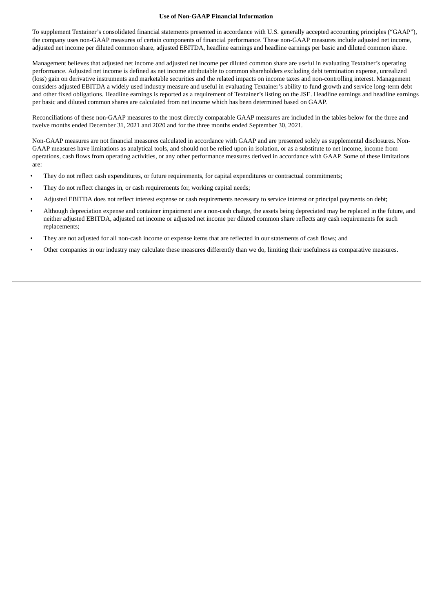#### **Use of Non-GAAP Financial Information**

To supplement Textainer's consolidated financial statements presented in accordance with U.S. generally accepted accounting principles ("GAAP"), the company uses non-GAAP measures of certain components of financial performance. These non-GAAP measures include adjusted net income, adjusted net income per diluted common share, adjusted EBITDA, headline earnings and headline earnings per basic and diluted common share.

Management believes that adjusted net income and adjusted net income per diluted common share are useful in evaluating Textainer's operating performance. Adjusted net income is defined as net income attributable to common shareholders excluding debt termination expense, unrealized (loss) gain on derivative instruments and marketable securities and the related impacts on income taxes and non-controlling interest. Management considers adjusted EBITDA a widely used industry measure and useful in evaluating Textainer's ability to fund growth and service long-term debt and other fixed obligations. Headline earnings is reported as a requirement of Textainer's listing on the JSE. Headline earnings and headline earnings per basic and diluted common shares are calculated from net income which has been determined based on GAAP.

Reconciliations of these non-GAAP measures to the most directly comparable GAAP measures are included in the tables below for the three and twelve months ended December 31, 2021 and 2020 and for the three months ended September 30, 2021.

Non-GAAP measures are not financial measures calculated in accordance with GAAP and are presented solely as supplemental disclosures. Non-GAAP measures have limitations as analytical tools, and should not be relied upon in isolation, or as a substitute to net income, income from operations, cash flows from operating activities, or any other performance measures derived in accordance with GAAP. Some of these limitations are:

- They do not reflect cash expenditures, or future requirements, for capital expenditures or contractual commitments;
- They do not reflect changes in, or cash requirements for, working capital needs;
- Adjusted EBITDA does not reflect interest expense or cash requirements necessary to service interest or principal payments on debt;
- Although depreciation expense and container impairment are a non-cash charge, the assets being depreciated may be replaced in the future, and neither adjusted EBITDA, adjusted net income or adjusted net income per diluted common share reflects any cash requirements for such replacements;
- They are not adjusted for all non-cash income or expense items that are reflected in our statements of cash flows; and
- Other companies in our industry may calculate these measures differently than we do, limiting their usefulness as comparative measures.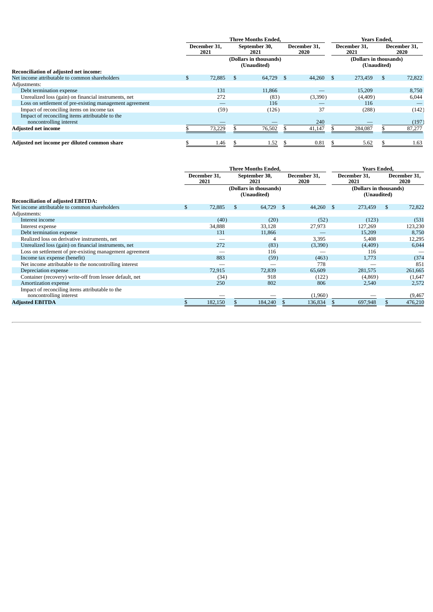|                                                                            | <b>Three Months Ended.</b> |                                       |                       |        |                      |         |                      | <b>Years Ended.</b>                   |          |                      |  |  |  |
|----------------------------------------------------------------------------|----------------------------|---------------------------------------|-----------------------|--------|----------------------|---------|----------------------|---------------------------------------|----------|----------------------|--|--|--|
|                                                                            | December 31,<br>2021       |                                       | September 30,<br>2021 |        | December 31,<br>2020 |         | December 31,<br>2021 |                                       |          | December 31,<br>2020 |  |  |  |
|                                                                            |                            | (Dollars in thousands)<br>(Unaudited) |                       |        |                      |         |                      | (Dollars in thousands)<br>(Unaudited) |          |                      |  |  |  |
| Reconciliation of adjusted net income:                                     |                            |                                       |                       |        |                      |         |                      |                                       |          |                      |  |  |  |
| Net income attributable to common shareholders                             |                            | 72,885                                | \$                    | 64,729 | - \$                 | 44,260  | - \$                 | 273,459                               | <b>S</b> | 72,822               |  |  |  |
| Adjustments:                                                               |                            |                                       |                       |        |                      |         |                      |                                       |          |                      |  |  |  |
| Debt termination expense                                                   |                            | 131                                   |                       | 11,866 |                      |         |                      | 15,209                                |          | 8,750                |  |  |  |
| Unrealized loss (gain) on financial instruments, net                       |                            | 272                                   |                       | (83)   |                      | (3,390) |                      | (4,409)                               |          | 6,044                |  |  |  |
| Loss on settlement of pre-existing management agreement                    |                            |                                       |                       | 116    |                      |         |                      | 116                                   |          |                      |  |  |  |
| Impact of reconciling items on income tax                                  |                            | (59)                                  |                       | (126)  |                      | 37      |                      | (288)                                 |          | (142)                |  |  |  |
| Impact of reconciling items attributable to the<br>noncontrolling interest |                            |                                       |                       |        |                      | 240     |                      |                                       |          | (197)                |  |  |  |
| <b>Adjusted net income</b>                                                 |                            | 73,229                                |                       | 76,502 |                      | 41,147  |                      | 284,087                               |          | 87,277               |  |  |  |
|                                                                            |                            |                                       |                       |        |                      |         |                      |                                       |          |                      |  |  |  |
| Adjusted net income per diluted common share                               |                            | 1.46                                  |                       | 1.52   |                      | 0.81    |                      | 5.62                                  |          | 1.63                 |  |  |  |

|                                                                            |                                       | <b>Three Months Ended,</b> |                       | Years Ended, |                      |                      |                                       |                      |
|----------------------------------------------------------------------------|---------------------------------------|----------------------------|-----------------------|--------------|----------------------|----------------------|---------------------------------------|----------------------|
|                                                                            | December 31.<br>2021                  |                            | September 30,<br>2021 |              | December 31,<br>2020 | December 31,<br>2021 |                                       | December 31.<br>2020 |
|                                                                            | (Dollars in thousands)<br>(Unaudited) |                            |                       |              |                      |                      | (Dollars in thousands)<br>(Unaudited) |                      |
| <b>Reconciliation of adjusted EBITDA:</b>                                  |                                       |                            |                       |              |                      |                      |                                       |                      |
| Net income attributable to common shareholders                             | \$<br>72,885                          | \$                         | 64,729                | $\sim$ \$    | 44,260               | S.                   | 273,459                               | \$<br>72,822         |
| Adjustments:                                                               |                                       |                            |                       |              |                      |                      |                                       |                      |
| Interest income                                                            | (40)                                  |                            | (20)                  |              | (52)                 |                      | (123)                                 | (531)                |
| Interest expense                                                           | 34,888                                |                            | 33,128                |              | 27,973               |                      | 127,269                               | 123,230              |
| Debt termination expense                                                   | 131                                   |                            | 11,866                |              |                      |                      | 15,209                                | 8,750                |
| Realized loss on derivative instruments, net                               |                                       |                            |                       |              | 3,395                |                      | 5,408                                 | 12,295               |
| Unrealized loss (gain) on financial instruments, net                       | 272                                   |                            | (83)                  |              | (3,390)              |                      | (4,409)                               | 6,044                |
| Loss on settlement of pre-existing management agreement                    |                                       |                            | 116                   |              |                      |                      | 116                                   |                      |
| Income tax expense (benefit)                                               | 883                                   |                            | (59)                  |              | (463)                |                      | 1,773                                 | (374)                |
| Net income attributable to the noncontrolling interest                     |                                       |                            |                       |              | 778                  |                      |                                       | 851                  |
| Depreciation expense                                                       | 72,915                                |                            | 72,839                |              | 65,609               |                      | 281,575                               | 261,665              |
| Container (recovery) write-off from lessee default, net                    | (34)                                  |                            | 918                   |              | (122)                |                      | (4,869)                               | (1,647)              |
| Amortization expense                                                       | 250                                   |                            | 802                   |              | 806                  |                      | 2,540                                 | 2,572                |
| Impact of reconciling items attributable to the<br>noncontrolling interest |                                       |                            |                       |              | (1,960)              |                      |                                       | (9, 467)             |
| <b>Adjusted EBITDA</b>                                                     | 182,150                               |                            | 184,240               |              | 136,834              |                      | 697,948                               | 476,210              |
|                                                                            |                                       |                            |                       |              |                      |                      |                                       |                      |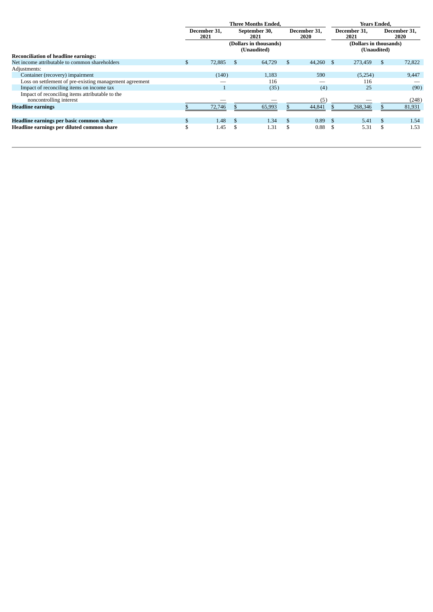|                                                         |                      |        |                       | <b>Three Months Ended.</b>            | <b>Years Ended.</b>  |        |    |                                       |    |                      |
|---------------------------------------------------------|----------------------|--------|-----------------------|---------------------------------------|----------------------|--------|----|---------------------------------------|----|----------------------|
|                                                         | December 31.<br>2021 |        | September 30,<br>2021 |                                       | December 31,<br>2020 |        |    | December 31.<br>2021                  |    | December 31,<br>2020 |
|                                                         |                      |        |                       | (Dollars in thousands)<br>(Unaudited) |                      |        |    | (Dollars in thousands)<br>(Unaudited) |    |                      |
| <b>Reconciliation of headline earnings:</b>             |                      |        |                       |                                       |                      |        |    |                                       |    |                      |
| Net income attributable to common shareholders          | S.                   | 72,885 | - \$                  | 64,729                                | \$                   | 44,260 | -S | 273,459                               | -S | 72,822               |
| Adjustments:                                            |                      |        |                       |                                       |                      |        |    |                                       |    |                      |
| Container (recovery) impairment                         |                      | (140)  |                       | 1,183                                 |                      | 590    |    | (5,254)                               |    | 9,447                |
| Loss on settlement of pre-existing management agreement |                      |        |                       | 116                                   |                      |        |    | 116                                   |    |                      |
| Impact of reconciling items on income tax               |                      |        |                       | (35)                                  |                      | (4)    |    | 25                                    |    | (90)                 |
| Impact of reconciling items attributable to the         |                      |        |                       |                                       |                      |        |    |                                       |    |                      |
| noncontrolling interest                                 |                      |        |                       |                                       |                      | (5     |    |                                       |    | (248)                |
| <b>Headline earnings</b>                                |                      | 72,746 |                       | 65,993                                |                      | 44,841 |    | 268,346                               |    | 81,931               |
|                                                         |                      |        |                       |                                       |                      |        |    |                                       |    |                      |
| Headline earnings per basic common share                |                      | 1.48   |                       | 1.34                                  | \$                   | 0.89   | -S | 5.41                                  | .S | 1.54                 |
| Headline earnings per diluted common share              | \$                   | 1.45   | \$                    | 1.31                                  | \$                   | 0.88   | Ŝ. | 5.31                                  | £. | 1.53                 |